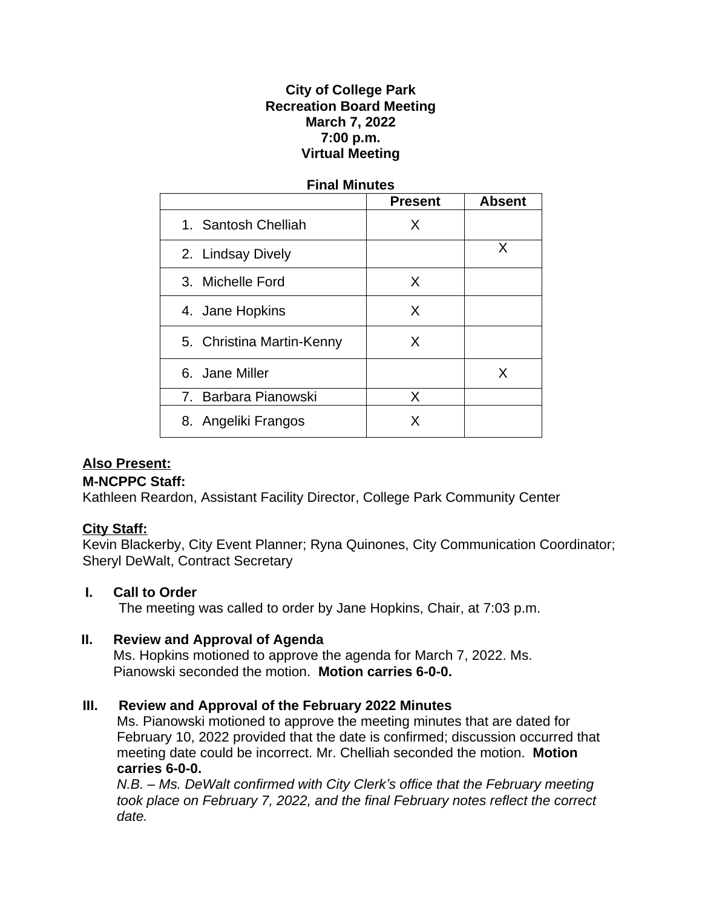## **City of College Park Recreation Board Meeting March 7, 2022 7:00 p.m. Virtual Meeting**

# **Final Minutes Present Absent** 1. Santosh Chelliah X 2. Lindsay Dively and the same of the set of the set of the set of the set of the set of the set of the set of the set of the set of the set of the set of the set of the set of the set of the set of the set of the set of t 3. Michelle Ford X 4. Jane Hopkins Theory New York 1 5. Christina Martin-Kenny X 6. Jane Miller X 7. Barbara Pianowski X 8. Angeliki Frangos | X

## **Also Present:**

#### **M-NCPPC Staff:**

Kathleen Reardon, Assistant Facility Director, College Park Community Center

## **City Staff:**

Kevin Blackerby, City Event Planner; Ryna Quinones, City Communication Coordinator; Sheryl DeWalt, Contract Secretary

#### **I. Call to Order**

The meeting was called to order by Jane Hopkins, Chair, at 7:03 p.m.

## **II. Review and Approval of Agenda**

Ms. Hopkins motioned to approve the agenda for March 7, 2022. Ms. Pianowski seconded the motion. **Motion carries 6-0-0.**

## **III. Review and Approval of the February 2022 Minutes**

Ms. Pianowski motioned to approve the meeting minutes that are dated for February 10, 2022 provided that the date is confirmed; discussion occurred that meeting date could be incorrect. Mr. Chelliah seconded the motion. **Motion carries 6-0-0.**

*N.B. – Ms. DeWalt confirmed with City Clerk's office that the February meeting took place on February 7, 2022, and the final February notes reflect the correct date.*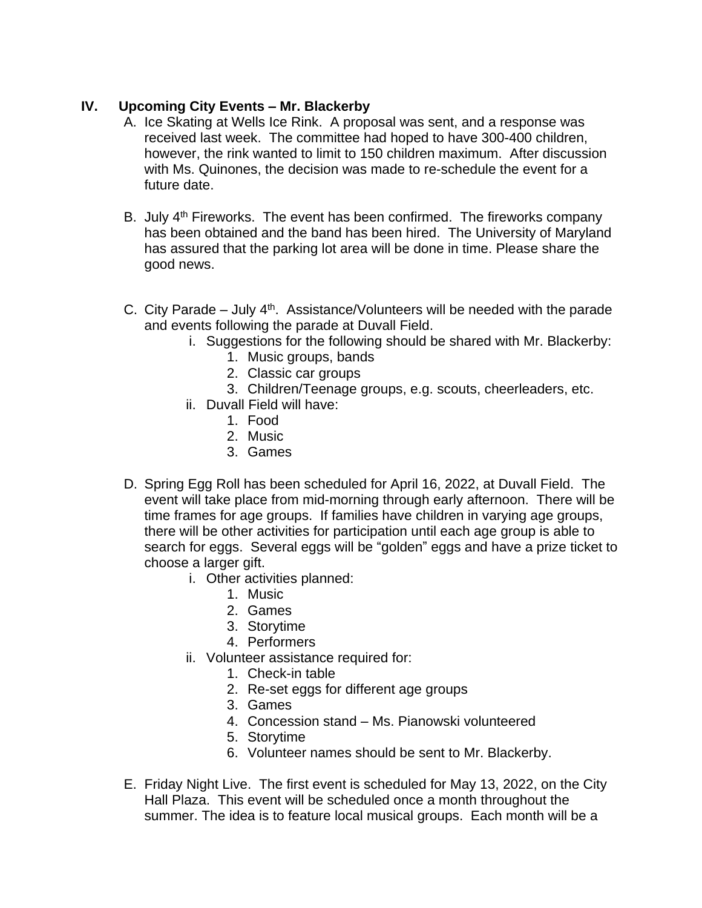### **IV. Upcoming City Events – Mr. Blackerby**

- A. Ice Skating at Wells Ice Rink. A proposal was sent, and a response was received last week. The committee had hoped to have 300-400 children, however, the rink wanted to limit to 150 children maximum. After discussion with Ms. Quinones, the decision was made to re-schedule the event for a future date.
- B. July 4<sup>th</sup> Fireworks. The event has been confirmed. The fireworks company has been obtained and the band has been hired. The University of Maryland has assured that the parking lot area will be done in time. Please share the good news.
- C. City Parade July  $4<sup>th</sup>$ . Assistance/Volunteers will be needed with the parade and events following the parade at Duvall Field.
	- i. Suggestions for the following should be shared with Mr. Blackerby:
		- 1. Music groups, bands
		- 2. Classic car groups
		- 3. Children/Teenage groups, e.g. scouts, cheerleaders, etc.
	- ii. Duvall Field will have:
		- 1. Food
		- 2. Music
		- 3. Games
- D. Spring Egg Roll has been scheduled for April 16, 2022, at Duvall Field. The event will take place from mid-morning through early afternoon. There will be time frames for age groups. If families have children in varying age groups, there will be other activities for participation until each age group is able to search for eggs. Several eggs will be "golden" eggs and have a prize ticket to choose a larger gift.
	- i. Other activities planned:
		- 1. Music
		- 2. Games
		- 3. Storytime
		- 4. Performers
	- ii. Volunteer assistance required for:
		- 1. Check-in table
		- 2. Re-set eggs for different age groups
		- 3. Games
		- 4. Concession stand Ms. Pianowski volunteered
		- 5. Storytime
		- 6. Volunteer names should be sent to Mr. Blackerby.
- E. Friday Night Live. The first event is scheduled for May 13, 2022, on the City Hall Plaza. This event will be scheduled once a month throughout the summer. The idea is to feature local musical groups. Each month will be a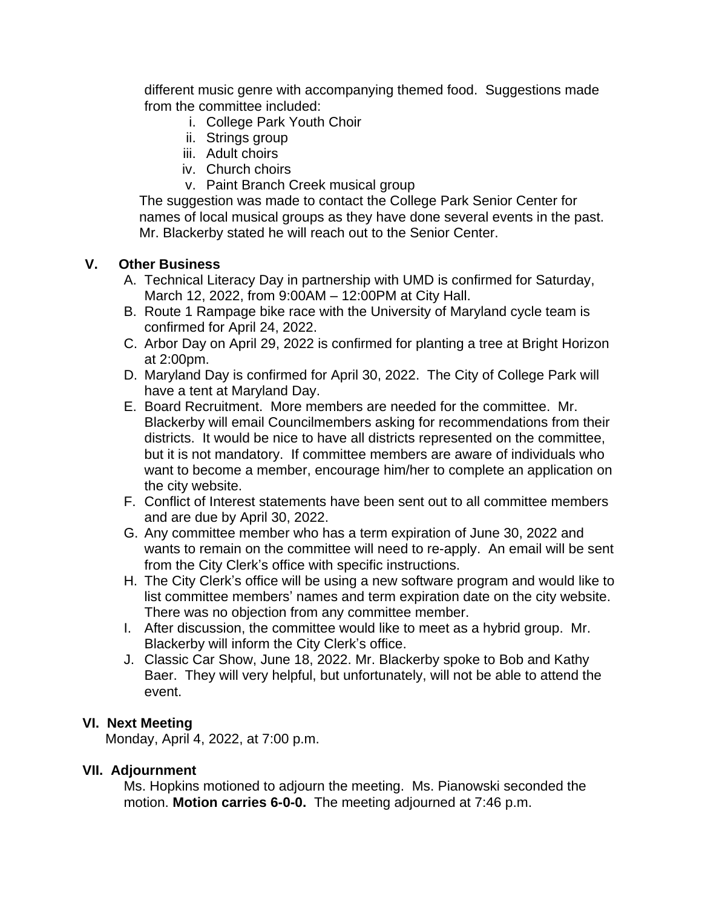different music genre with accompanying themed food. Suggestions made from the committee included:

- i. College Park Youth Choir
- ii. Strings group
- iii. Adult choirs
- iv. Church choirs
- v. Paint Branch Creek musical group

The suggestion was made to contact the College Park Senior Center for names of local musical groups as they have done several events in the past. Mr. Blackerby stated he will reach out to the Senior Center.

#### **V. Other Business**

- A. Technical Literacy Day in partnership with UMD is confirmed for Saturday, March 12, 2022, from 9:00AM – 12:00PM at City Hall.
- B. Route 1 Rampage bike race with the University of Maryland cycle team is confirmed for April 24, 2022.
- C. Arbor Day on April 29, 2022 is confirmed for planting a tree at Bright Horizon at 2:00pm.
- D. Maryland Day is confirmed for April 30, 2022. The City of College Park will have a tent at Maryland Day.
- E. Board Recruitment. More members are needed for the committee. Mr. Blackerby will email Councilmembers asking for recommendations from their districts. It would be nice to have all districts represented on the committee, but it is not mandatory. If committee members are aware of individuals who want to become a member, encourage him/her to complete an application on the city website.
- F. Conflict of Interest statements have been sent out to all committee members and are due by April 30, 2022.
- G. Any committee member who has a term expiration of June 30, 2022 and wants to remain on the committee will need to re-apply. An email will be sent from the City Clerk's office with specific instructions.
- H. The City Clerk's office will be using a new software program and would like to list committee members' names and term expiration date on the city website. There was no objection from any committee member.
- I. After discussion, the committee would like to meet as a hybrid group. Mr. Blackerby will inform the City Clerk's office.
- J. Classic Car Show, June 18, 2022. Mr. Blackerby spoke to Bob and Kathy Baer. They will very helpful, but unfortunately, will not be able to attend the event.

#### **VI. Next Meeting**

Monday, April 4, 2022, at 7:00 p.m.

#### **VII. Adjournment**

Ms. Hopkins motioned to adjourn the meeting. Ms. Pianowski seconded the motion. **Motion carries 6-0-0.** The meeting adjourned at 7:46 p.m.